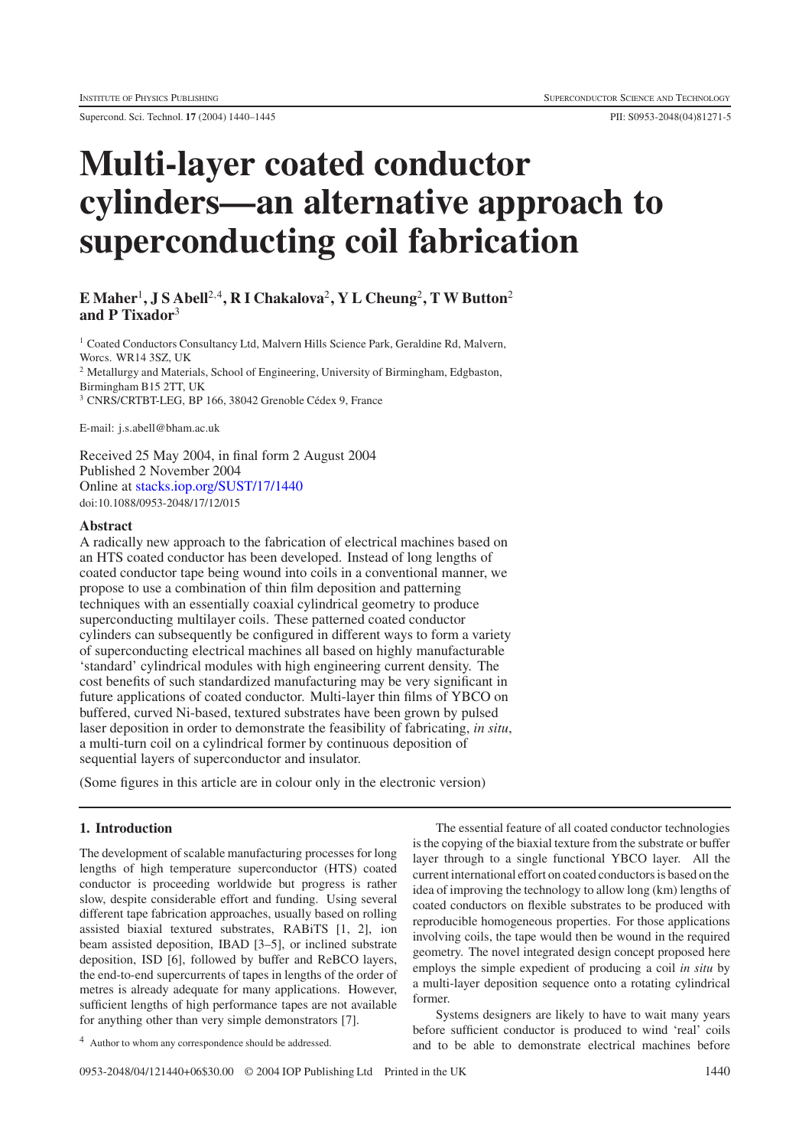Supercond. Sci. Technol. **17** (2004) 1440–1445 PII: S0953-2048(04)81271-5

# **Multi-layer coated conductor cylinders—an alternative approach to superconducting coil fabrication**

## **E Maher**<sup>1</sup>**, J S Abell**<sup>2</sup>*,*<sup>4</sup>**, R I Chakalova**<sup>2</sup>**,YLCheung**<sup>2</sup>**, T W Button**<sup>2</sup> **and P Tixador**<sup>3</sup>

<sup>1</sup> Coated Conductors Consultancy Ltd, Malvern Hills Science Park, Geraldine Rd, Malvern, Worcs. WR14 3SZ, UK <sup>2</sup> Metallurgy and Materials, School of Engineering, University of Birmingham, Edgbaston, Birmingham B15 2TT, UK <sup>3</sup> CNRS/CRTBT-LEG, BP 166, 38042 Grenoble Cédex 9, France

E-mail: j.s.abell@bham.ac.uk

Received 25 May 2004, in final form 2 August 2004 Published 2 November 2004 Online at [stacks.iop.org/SUST/17/1440](http://stacks.iop.org/SUST/17/1440) doi:10.1088/0953-2048/17/12/015

### **Abstract**

A radically new approach to the fabrication of electrical machines based on an HTS coated conductor has been developed. Instead of long lengths of coated conductor tape being wound into coils in a conventional manner, we propose to use a combination of thin film deposition and patterning techniques with an essentially coaxial cylindrical geometry to produce superconducting multilayer coils. These patterned coated conductor cylinders can subsequently be configured in different ways to form a variety of superconducting electrical machines all based on highly manufacturable 'standard' cylindrical modules with high engineering current density. The cost benefits of such standardized manufacturing may be very significant in future applications of coated conductor. Multi-layer thin films of YBCO on buffered, curved Ni-based, textured substrates have been grown by pulsed laser deposition in order to demonstrate the feasibility of fabricating, *in situ*, a multi-turn coil on a cylindrical former by continuous deposition of sequential layers of superconductor and insulator.

(Some figures in this article are in colour only in the electronic version)

#### **1. Introduction**

The development of scalable manufacturing processes for long lengths of high temperature superconductor (HTS) coated conductor is proceeding worldwide but progress is rather slow, despite considerable effort and funding. Using several different tape fabrication approaches, usually based on rolling assisted biaxial textured substrates, RABiTS [1, 2], ion beam assisted deposition, IBAD [3–5], or inclined substrate deposition, ISD [6], followed by buffer and ReBCO layers, the end-to-end supercurrents of tapes in lengths of the order of metres is already adequate for many applications. However, sufficient lengths of high performance tapes are not available for anything other than very simple demonstrators [7].

<sup>4</sup> Author to whom any correspondence should be addressed.

The essential feature of all coated conductor technologies is the copying of the biaxial texture from the substrate or buffer layer through to a single functional YBCO layer. All the current international effort on coated conductors is based on the idea of improving the technology to allow long (km) lengths of coated conductors on flexible substrates to be produced with reproducible homogeneous properties. For those applications involving coils, the tape would then be wound in the required geometry. The novel integrated design concept proposed here employs the simple expedient of producing a coil *in situ* by a multi-layer deposition sequence onto a rotating cylindrical former.

Systems designers are likely to have to wait many years before sufficient conductor is produced to wind 'real' coils and to be able to demonstrate electrical machines before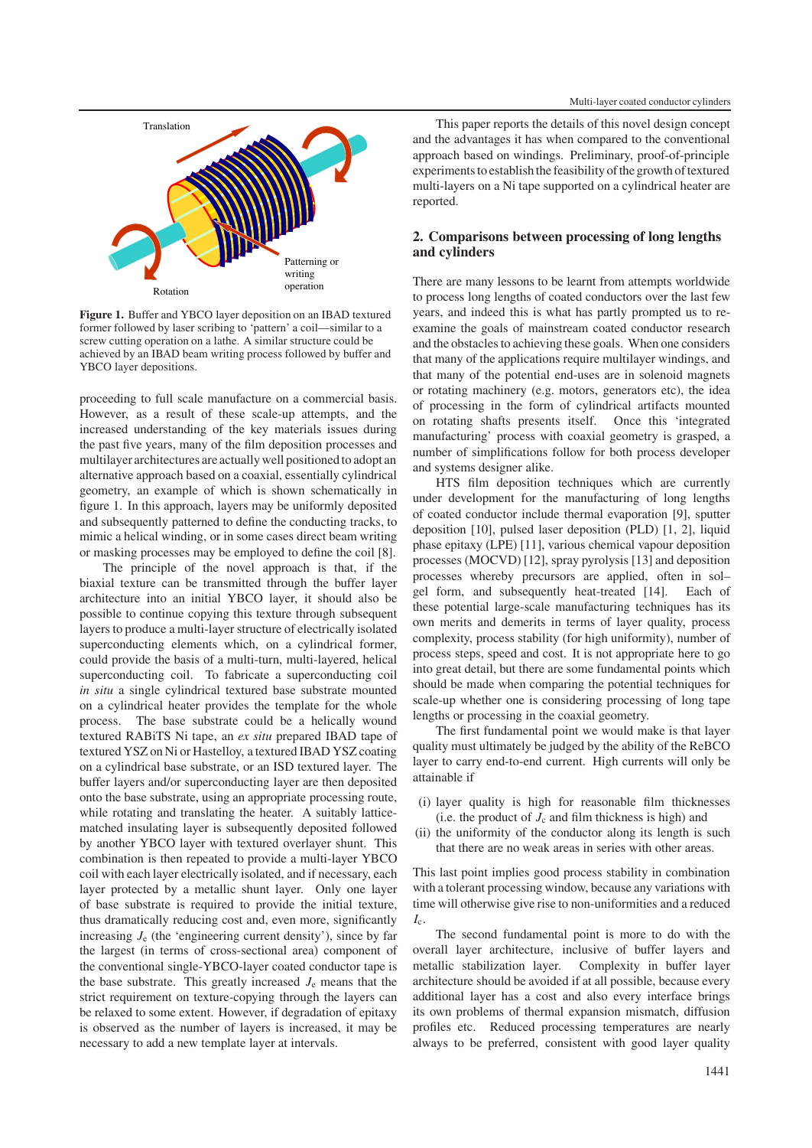

**Figure 1.** Buffer and YBCO layer deposition on an IBAD textured former followed by laser scribing to 'pattern' a coil—similar to a screw cutting operation on a lathe. A similar structure could be achieved by an IBAD beam writing process followed by buffer and YBCO layer depositions.

proceeding to full scale manufacture on a commercial basis. However, as a result of these scale-up attempts, and the increased understanding of the key materials issues during the past five years, many of the film deposition processes and multilayer architectures are actually well positioned to adopt an alternative approach based on a coaxial, essentially cylindrical geometry, an example of which is shown schematically in figure 1. In this approach, layers may be uniformly deposited and subsequently patterned to define the conducting tracks, to mimic a helical winding, or in some cases direct beam writing or masking processes may be employed to define the coil [8].

The principle of the novel approach is that, if the biaxial texture can be transmitted through the buffer layer architecture into an initial YBCO layer, it should also be possible to continue copying this texture through subsequent layers to produce a multi-layer structure of electrically isolated superconducting elements which, on a cylindrical former, could provide the basis of a multi-turn, multi-layered, helical superconducting coil. To fabricate a superconducting coil *in situ* a single cylindrical textured base substrate mounted on a cylindrical heater provides the template for the whole process. The base substrate could be a helically wound textured RABiTS Ni tape, an *ex situ* prepared IBAD tape of textured YSZ on Ni or Hastelloy, a textured IBAD YSZ coating on a cylindrical base substrate, or an ISD textured layer. The buffer layers and/or superconducting layer are then deposited onto the base substrate, using an appropriate processing route, while rotating and translating the heater. A suitably latticematched insulating layer is subsequently deposited followed by another YBCO layer with textured overlayer shunt. This combination is then repeated to provide a multi-layer YBCO coil with each layer electrically isolated, and if necessary, each layer protected by a metallic shunt layer. Only one layer of base substrate is required to provide the initial texture, thus dramatically reducing cost and, even more, significantly increasing  $J<sub>e</sub>$  (the 'engineering current density'), since by far the largest (in terms of cross-sectional area) component of the conventional single-YBCO-layer coated conductor tape is the base substrate. This greatly increased  $J<sub>e</sub>$  means that the strict requirement on texture-copying through the layers can be relaxed to some extent. However, if degradation of epitaxy is observed as the number of layers is increased, it may be necessary to add a new template layer at intervals.

This paper reports the details of this novel design concept and the advantages it has when compared to the conventional approach based on windings. Preliminary, proof-of-principle experiments to establish the feasibility of the growth of textured multi-layers on a Ni tape supported on a cylindrical heater are reported.

### **2. Comparisons between processing of long lengths and cylinders**

There are many lessons to be learnt from attempts worldwide to process long lengths of coated conductors over the last few years, and indeed this is what has partly prompted us to reexamine the goals of mainstream coated conductor research and the obstacles to achieving these goals. When one considers that many of the applications require multilayer windings, and that many of the potential end-uses are in solenoid magnets or rotating machinery (e.g. motors, generators etc), the idea of processing in the form of cylindrical artifacts mounted on rotating shafts presents itself. Once this 'integrated manufacturing' process with coaxial geometry is grasped, a number of simplifications follow for both process developer and systems designer alike.

HTS film deposition techniques which are currently under development for the manufacturing of long lengths of coated conductor include thermal evaporation [9], sputter deposition [10], pulsed laser deposition (PLD) [1, 2], liquid phase epitaxy (LPE) [11], various chemical vapour deposition processes (MOCVD) [12], spray pyrolysis [13] and deposition processes whereby precursors are applied, often in sol– gel form, and subsequently heat-treated [14]. Each of these potential large-scale manufacturing techniques has its own merits and demerits in terms of layer quality, process complexity, process stability (for high uniformity), number of process steps, speed and cost. It is not appropriate here to go into great detail, but there are some fundamental points which should be made when comparing the potential techniques for scale-up whether one is considering processing of long tape lengths or processing in the coaxial geometry.

The first fundamental point we would make is that layer quality must ultimately be judged by the ability of the ReBCO layer to carry end-to-end current. High currents will only be attainable if

- (i) layer quality is high for reasonable film thicknesses (i.e. the product of  $J_c$  and film thickness is high) and
- (ii) the uniformity of the conductor along its length is such that there are no weak areas in series with other areas.

This last point implies good process stability in combination with a tolerant processing window, because any variations with time will otherwise give rise to non-uniformities and a reduced  $I_c$ .

The second fundamental point is more to do with the overall layer architecture, inclusive of buffer layers and metallic stabilization layer. Complexity in buffer layer architecture should be avoided if at all possible, because every additional layer has a cost and also every interface brings its own problems of thermal expansion mismatch, diffusion profiles etc. Reduced processing temperatures are nearly always to be preferred, consistent with good layer quality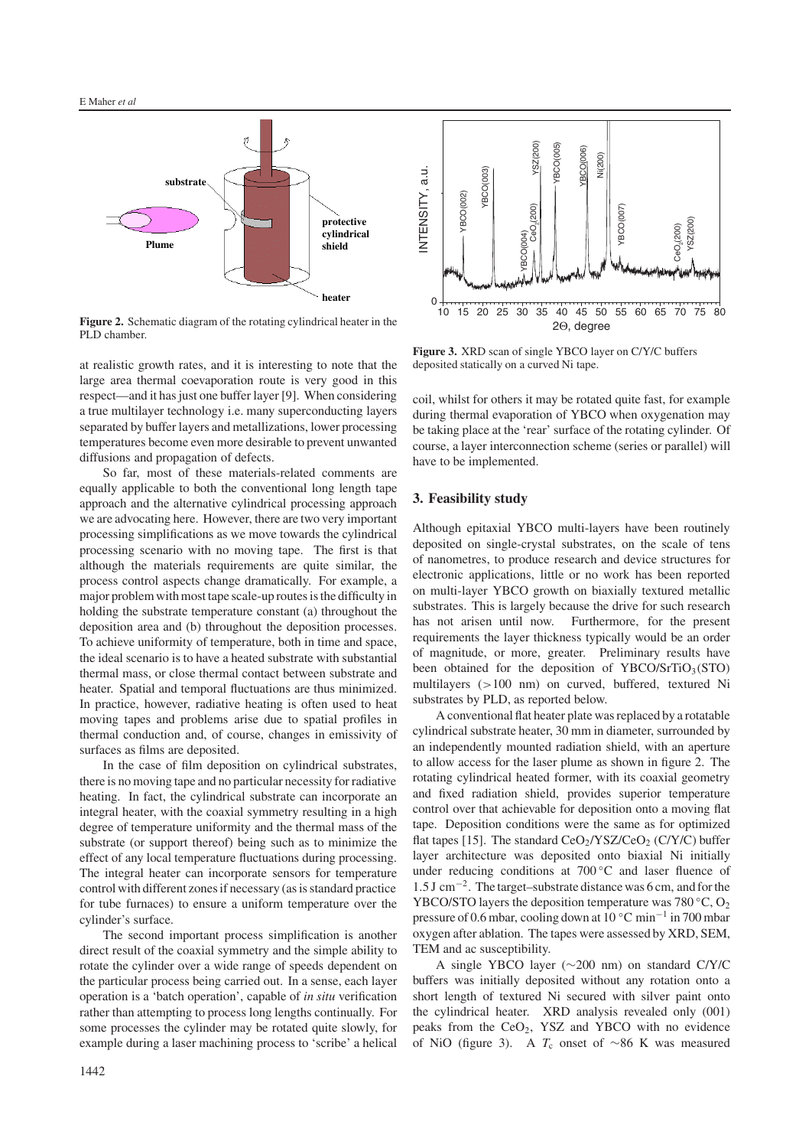

**Figure 2.** Schematic diagram of the rotating cylindrical heater in the PLD chamber.

at realistic growth rates, and it is interesting to note that the large area thermal coevaporation route is very good in this respect—and it has just one buffer layer [9]. When considering a true multilayer technology i.e. many superconducting layers separated by buffer layers and metallizations, lower processing temperatures become even more desirable to prevent unwanted diffusions and propagation of defects.

So far, most of these materials-related comments are equally applicable to both the conventional long length tape approach and the alternative cylindrical processing approach we are advocating here. However, there are two very important processing simplifications as we move towards the cylindrical processing scenario with no moving tape. The first is that although the materials requirements are quite similar, the process control aspects change dramatically. For example, a major problem with most tape scale-up routes is the difficulty in holding the substrate temperature constant (a) throughout the deposition area and (b) throughout the deposition processes. To achieve uniformity of temperature, both in time and space, the ideal scenario is to have a heated substrate with substantial thermal mass, or close thermal contact between substrate and heater. Spatial and temporal fluctuations are thus minimized. In practice, however, radiative heating is often used to heat moving tapes and problems arise due to spatial profiles in thermal conduction and, of course, changes in emissivity of surfaces as films are deposited.

In the case of film deposition on cylindrical substrates, there is no moving tape and no particular necessity for radiative heating. In fact, the cylindrical substrate can incorporate an integral heater, with the coaxial symmetry resulting in a high degree of temperature uniformity and the thermal mass of the substrate (or support thereof) being such as to minimize the effect of any local temperature fluctuations during processing. The integral heater can incorporate sensors for temperature control with different zones if necessary (as is standard practice for tube furnaces) to ensure a uniform temperature over the cylinder's surface.

The second important process simplification is another direct result of the coaxial symmetry and the simple ability to rotate the cylinder over a wide range of speeds dependent on the particular process being carried out. In a sense, each layer operation is a 'batch operation', capable of *in situ* verification rather than attempting to process long lengths continually. For some processes the cylinder may be rotated quite slowly, for example during a laser machining process to 'scribe' a helical



**Figure 3.** XRD scan of single YBCO layer on C/Y/C buffers deposited statically on a curved Ni tape.

coil, whilst for others it may be rotated quite fast, for example during thermal evaporation of YBCO when oxygenation may be taking place at the 'rear' surface of the rotating cylinder. Of course, a layer interconnection scheme (series or parallel) will have to be implemented.

#### **3. Feasibility study**

Although epitaxial YBCO multi-layers have been routinely deposited on single-crystal substrates, on the scale of tens of nanometres, to produce research and device structures for electronic applications, little or no work has been reported on multi-layer YBCO growth on biaxially textured metallic substrates. This is largely because the drive for such research has not arisen until now. Furthermore, for the present requirements the layer thickness typically would be an order of magnitude, or more, greater. Preliminary results have been obtained for the deposition of YBCO/SrTiO<sub>3</sub>(STO) multilayers (*>*100 nm) on curved, buffered, textured Ni substrates by PLD, as reported below.

A conventional flat heater plate was replaced by a rotatable cylindrical substrate heater, 30 mm in diameter, surrounded by an independently mounted radiation shield, with an aperture to allow access for the laser plume as shown in figure 2. The rotating cylindrical heated former, with its coaxial geometry and fixed radiation shield, provides superior temperature control over that achievable for deposition onto a moving flat tape. Deposition conditions were the same as for optimized flat tapes [15]. The standard  $CeO<sub>2</sub>/YSZ/CeO<sub>2</sub>$  (C/Y/C) buffer layer architecture was deposited onto biaxial Ni initially under reducing conditions at  $700\degree\text{C}$  and laser fluence of 1*.*5 J cm−2. The target–substrate distance was 6 cm, and for the YBCO/STO layers the deposition temperature was  $780 °C$ , O<sub>2</sub> pressure of 0.6 mbar, cooling down at 10 ◦C min−<sup>1</sup> in 700 mbar oxygen after ablation. The tapes were assessed by XRD, SEM, TEM and ac susceptibility.

A single YBCO layer (∼200 nm) on standard C/Y/C buffers was initially deposited without any rotation onto a short length of textured Ni secured with silver paint onto the cylindrical heater. XRD analysis revealed only (001) peaks from the CeO2, YSZ and YBCO with no evidence of NiO (figure 3). A *T*<sub>c</sub> onset of ∼86 K was measured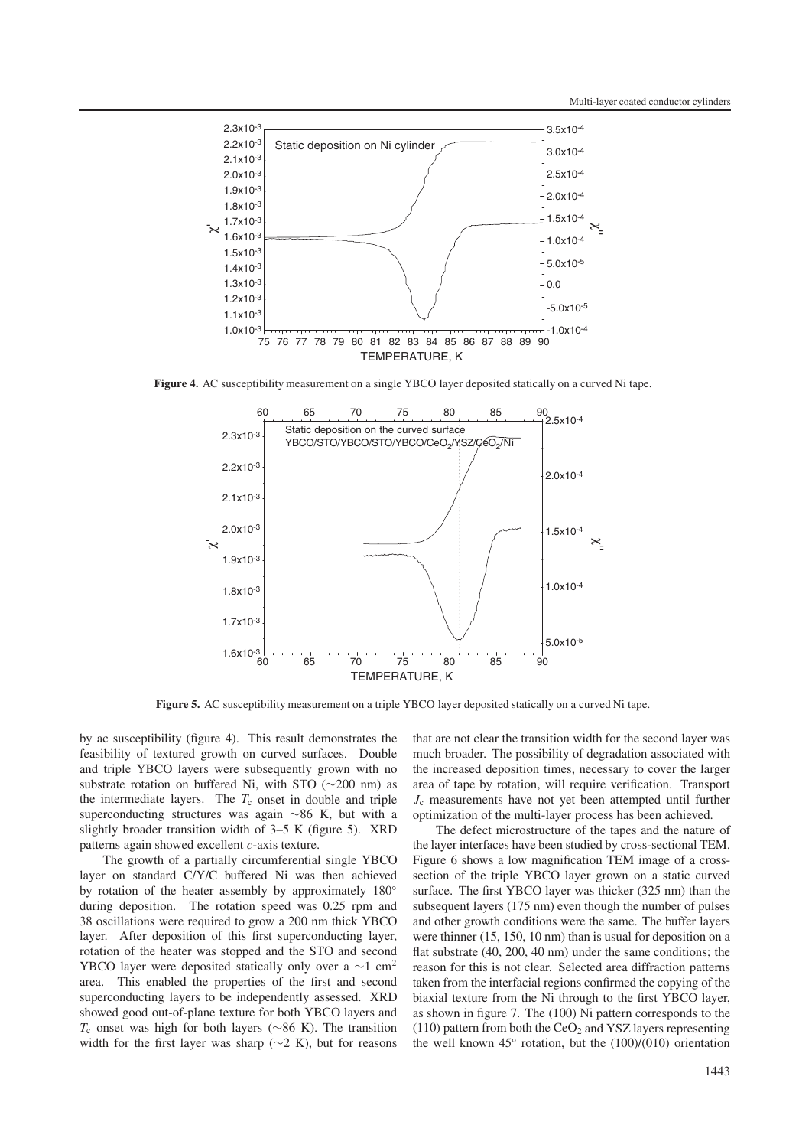

**Figure 4.** AC susceptibility measurement on a single YBCO layer deposited statically on a curved Ni tape.



**Figure 5.** AC susceptibility measurement on a triple YBCO layer deposited statically on a curved Ni tape.

by ac susceptibility (figure 4). This result demonstrates the feasibility of textured growth on curved surfaces. Double and triple YBCO layers were subsequently grown with no substrate rotation on buffered Ni, with STO (∼200 nm) as the intermediate layers. The  $T_c$  onset in double and triple superconducting structures was again ∼86 K, but with a slightly broader transition width of 3–5 K (figure 5). XRD patterns again showed excellent *c*-axis texture.

The growth of a partially circumferential single YBCO layer on standard C/Y/C buffered Ni was then achieved by rotation of the heater assembly by approximately 180° during deposition. The rotation speed was 0.25 rpm and 38 oscillations were required to grow a 200 nm thick YBCO layer. After deposition of this first superconducting layer, rotation of the heater was stopped and the STO and second YBCO layer were deposited statically only over a  $\sim$ 1 cm<sup>2</sup> area. This enabled the properties of the first and second superconducting layers to be independently assessed. XRD showed good out-of-plane texture for both YBCO layers and *T*<sub>c</sub> onset was high for both layers (∼86 K). The transition width for the first layer was sharp ( $\sim$ 2 K), but for reasons that are not clear the transition width for the second layer was much broader. The possibility of degradation associated with the increased deposition times, necessary to cover the larger area of tape by rotation, will require verification. Transport *J*<sup>c</sup> measurements have not yet been attempted until further optimization of the multi-layer process has been achieved.

The defect microstructure of the tapes and the nature of the layer interfaces have been studied by cross-sectional TEM. Figure 6 shows a low magnification TEM image of a crosssection of the triple YBCO layer grown on a static curved surface. The first YBCO layer was thicker (325 nm) than the subsequent layers (175 nm) even though the number of pulses and other growth conditions were the same. The buffer layers were thinner (15, 150, 10 nm) than is usual for deposition on a flat substrate (40, 200, 40 nm) under the same conditions; the reason for this is not clear. Selected area diffraction patterns taken from the interfacial regions confirmed the copying of the biaxial texture from the Ni through to the first YBCO layer, as shown in figure 7. The (100) Ni pattern corresponds to the (110) pattern from both the  $CeO<sub>2</sub>$  and YSZ layers representing the well known  $45°$  rotation, but the  $(100)/(010)$  orientation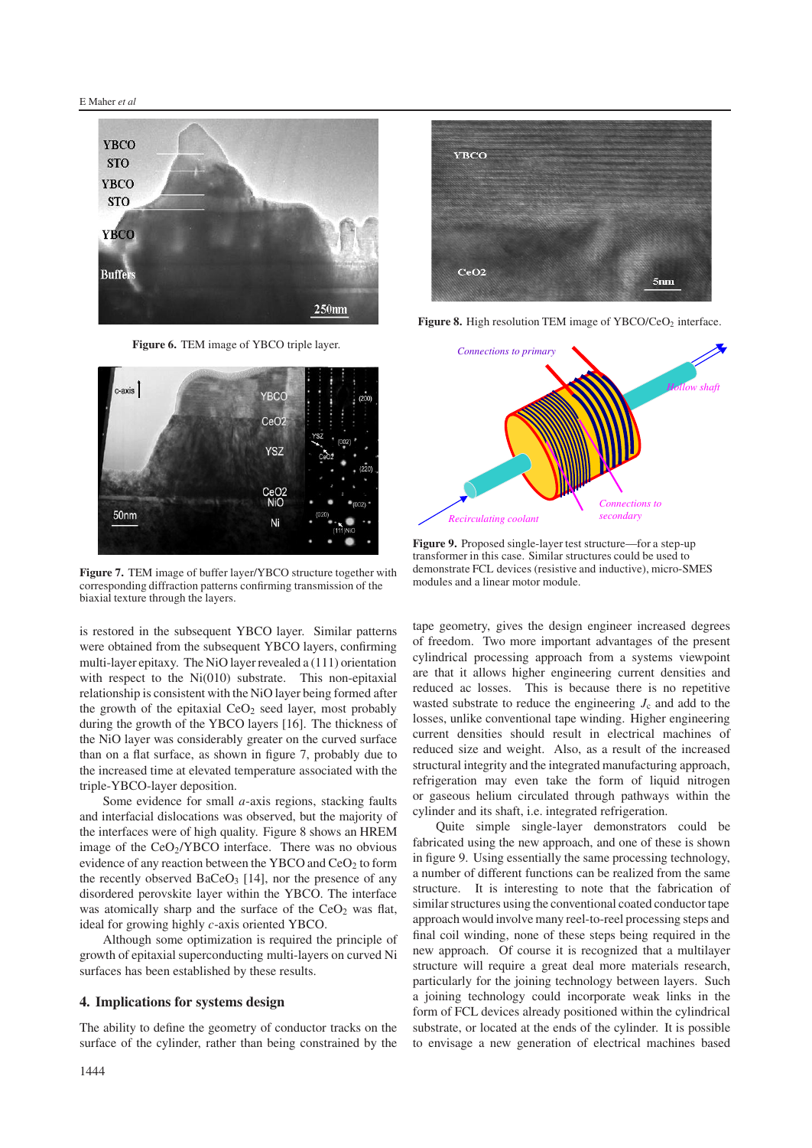

**Figure 6.** TEM image of YBCO triple layer.



**Figure 7.** TEM image of buffer layer/YBCO structure together with corresponding diffraction patterns confirming transmission of the biaxial texture through the layers.

is restored in the subsequent YBCO layer. Similar patterns were obtained from the subsequent YBCO layers, confirming multi-layer epitaxy. The NiO layer revealed a (111) orientation with respect to the Ni(010) substrate. This non-epitaxial relationship is consistent with the NiO layer being formed after the growth of the epitaxial  $CeO<sub>2</sub>$  seed layer, most probably during the growth of the YBCO layers [16]. The thickness of the NiO layer was considerably greater on the curved surface than on a flat surface, as shown in figure 7, probably due to the increased time at elevated temperature associated with the triple-YBCO-layer deposition.

Some evidence for small *a*-axis regions, stacking faults and interfacial dislocations was observed, but the majority of the interfaces were of high quality. Figure 8 shows an HREM image of the  $CeO<sub>2</sub>/YBCO$  interface. There was no obvious evidence of any reaction between the YBCO and  $CeO<sub>2</sub>$  to form the recently observed  $BaCeO<sub>3</sub>$  [14], nor the presence of any disordered perovskite layer within the YBCO. The interface was atomically sharp and the surface of the  $CeO<sub>2</sub>$  was flat, ideal for growing highly *c*-axis oriented YBCO.

Although some optimization is required the principle of growth of epitaxial superconducting multi-layers on curved Ni surfaces has been established by these results.

#### **4. Implications for systems design**

The ability to define the geometry of conductor tracks on the surface of the cylinder, rather than being constrained by the



**Figure 8.** High resolution TEM image of YBCO/CeO<sub>2</sub> interface.



**Figure 9.** Proposed single-layer test structure—for a step-up transformer in this case. Similar structures could be used to demonstrate FCL devices (resistive and inductive), micro-SMES modules and a linear motor module.

tape geometry, gives the design engineer increased degrees of freedom. Two more important advantages of the present cylindrical processing approach from a systems viewpoint are that it allows higher engineering current densities and reduced ac losses. This is because there is no repetitive wasted substrate to reduce the engineering  $J_c$  and add to the losses, unlike conventional tape winding. Higher engineering current densities should result in electrical machines of reduced size and weight. Also, as a result of the increased structural integrity and the integrated manufacturing approach, refrigeration may even take the form of liquid nitrogen or gaseous helium circulated through pathways within the cylinder and its shaft, i.e. integrated refrigeration.

Quite simple single-layer demonstrators could be fabricated using the new approach, and one of these is shown in figure 9. Using essentially the same processing technology, a number of different functions can be realized from the same structure. It is interesting to note that the fabrication of similar structures using the conventional coated conductor tape approach would involve many reel-to-reel processing steps and final coil winding, none of these steps being required in the new approach. Of course it is recognized that a multilayer structure will require a great deal more materials research, particularly for the joining technology between layers. Such a joining technology could incorporate weak links in the form of FCL devices already positioned within the cylindrical substrate, or located at the ends of the cylinder. It is possible to envisage a new generation of electrical machines based